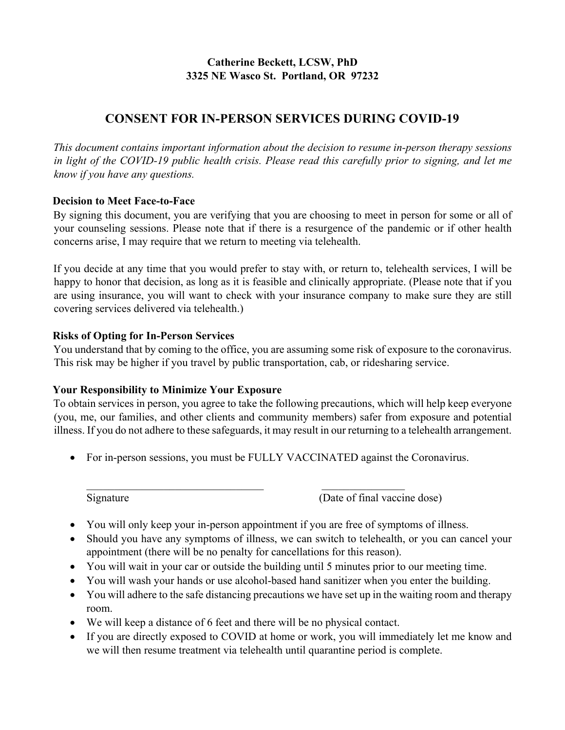# **Catherine Beckett, LCSW, PhD 3325 NE Wasco St. Portland, OR 97232**

# **CONSENT FOR IN‐PERSON SERVICES DURING COVID‐19**

*This document contains important information about the decision to resume in-person therapy sessions in light of the COVID‐19 public health crisis. Please read this carefully prior to signing, and let me know if you have any questions.* 

# **Decision to Meet Face‐to‐Face**

By signing this document, you are verifying that you are choosing to meet in person for some or all of your counseling sessions. Please note that if there is a resurgence of the pandemic or if other health concerns arise, I may require that we return to meeting via telehealth.

If you decide at any time that you would prefer to stay with, or return to, telehealth services, I will be happy to honor that decision, as long as it is feasible and clinically appropriate. (Please note that if you are using insurance, you will want to check with your insurance company to make sure they are still covering services delivered via telehealth.)

# **Risks of Opting for In‐Person Services**

You understand that by coming to the office, you are assuming some risk of exposure to the coronavirus. This risk may be higher if you travel by public transportation, cab, or ridesharing service.

# **Your Responsibility to Minimize Your Exposure**

To obtain services in person, you agree to take the following precautions, which will help keep everyone (you, me, our families, and other clients and community members) safer from exposure and potential illness. If you do not adhere to these safeguards, it may result in our returning to a telehealth arrangement.

• For in-person sessions, you must be FULLY VACCINATED against the Coronavirus.

Signature (Date of final vaccine dose)

- You will only keep your in-person appointment if you are free of symptoms of illness.
- Should you have any symptoms of illness, we can switch to telehealth, or you can cancel your appointment (there will be no penalty for cancellations for this reason).
- You will wait in your car or outside the building until 5 minutes prior to our meeting time.
- You will wash your hands or use alcohol-based hand sanitizer when you enter the building.
- You will adhere to the safe distancing precautions we have set up in the waiting room and therapy room.
- We will keep a distance of 6 feet and there will be no physical contact.
- If you are directly exposed to COVID at home or work, you will immediately let me know and we will then resume treatment via telehealth until quarantine period is complete.